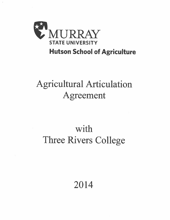

### **Hutson School of Agriculture**

## **Agricultural Articulation** Agreement

# with Three Rivers College

### 2014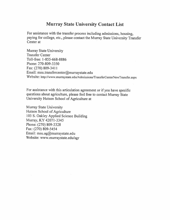### **Murray State University Contact List**

For assistance with the transfer process including admissions, housing, paying for college, etc., please contact the Murray State University Transfer Center at

Murray State University **Transfer Center** Toll-free: 1-855-668-8886 Phone: 270-809-3350 Fax: (270) 809-3411 Email: msu.transfercenter@murraystate.edu Website: http://www.murraystate.edu/Admissions/TransferCenterNewTransfer.aspx

For assistance with this articulation agreement or if you have specific questions about agriculture, please feel free to contact Murray State University Hutson School of Agriculture at

Murray State University Hutson School of Agriculture 103 S. Oakley Applied Science Building Murray, KY 42071-3345 Phone: (270) 809-3328 Fax: (270) 809-5454 Email:  $msu.ag@murravstate.edu$ Website: www.murraystate.edu/agr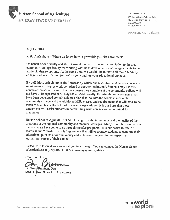

Office of the Dean 103 South Oakley Science Bldg. Murray, KY 42071-3345 270.809.3328 270.809.5454 fax

www.murraystate.edu/agr

July 15, 2014

MSU Agriculture – Where we know how to grow things...like enrollment!

On behalf of our faculty and staff, I would like to express our appreciation to the area community college faculty for working with us to develop articulation agreements to our academic degree options. At the same time, we would like to invite all the community college students to "come join us" as you continue your educational pursuits.

By definition, articulation is the "process by which one institution matches its courses or requirements to course work completed at another institution". Students may use this course articulation to assure that the courses they complete at the community college will not have to be repeated at Murray State. Additionally, the articulation agreements that have been developed contain a degree plan that includes the courses taken at the community college and the additional MSU classes and requirements that will have to be taken to complete a Bachelor of Science in Agriculture. It is our hope that these agreements will assist students in determining what courses will be required for graduation.

Hutson School of Agriculture at MSU recognizes the importance and the quality of the programs at the regional community and technical colleges. Many of our best students in the past years have come to us through transfer programs. It is our desire to create a seamless and "transfer friendly" agreement that will encourage students to continue their educational pursuits at our university and to become engaged in the respective agricultural career of their choice.

Please let us know if we can assist you in any way. You can contact the Hutson School of Agriculture at (270) 809-3328 or at msu.ag@murraystate.edu.

Come Join Us.

Dr. Tony Brannon, Dean MSU Hytson School of Agriculture

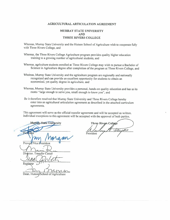#### **AGRICULTURAL ARTICULATION AGREEMENT**

#### **MURRAY STATE UNIVERSITY AND THREE RIVERS COLLEGE**

Whereas, Murray State University and the Hutson School of Agriculture wish to cooperate fully with Three Rivers College, and

- Whereas, the Three Rivers College Agriculture program provides quality higher education training to a growing number of agricultural students, and
- Whereas, agriculture students enrolled at Three Rivers College may wish to pursue a Bachelor of Science in Agriculture degree after completion of the program at Three Rivers College, and
- Whereas, Murray State University and the agriculture program are regionally and nationally recognized and can provide an excellent opportunity for students to obtain an economical, yet quality degree in agriculture, and
- Whereas, Murray State University provides a personal, hands-on quality education and has as its motto "large enough to serve you, small enough to know you", and
- Be it therefore resolved that Murray State University and Three Rivers College hereby enter into an agricultural articulation agreement as described in the attached curriculum agreements.

This agreement will serve as the official transfer agreement and will be accepted as written. Individual exceptions to this agreement will be accepted with the approval of both parties.

Murray State University Provo: Director. Transfer Center Registrar Λ Dean, Hutson/School of Agriculture

**Three Rivers College** MO President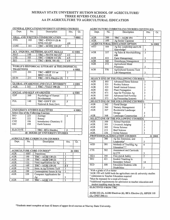#### MURRAY STATE UNIVERSITY HUTSON SCHOOL OF AGRICULTURE/ THREE RIVERS COLLEGE AA IN AGRICULTURE TO AGRICULTURAL EDUCATION

| <u>GERERAL EDUCATIONUNIVERSITT STUDIES COURSES</u> |                  |                                                        |                         |               |
|----------------------------------------------------|------------------|--------------------------------------------------------|-------------------------|---------------|
| Dept.                                              | No.              | <b>Description</b>                                     | Hrs.                    | Gr.           |
|                                                    |                  |                                                        |                         |               |
|                                                    |                  | ORAL AND WRITTEN COMMUNICATION                         |                         | 7 HRS         |
| <b>ENG</b>                                         | 105              | $TRC - ENGI11$ (3) &                                   |                         |               |
|                                                    |                  | ENG 112 $(3)^1$                                        | 46                      |               |
| <b>COM</b>                                         | 161              | $TRC-SCOM$ 110 (3) <sup>1</sup>                        | 3                       |               |
|                                                    |                  |                                                        |                         |               |
|                                                    |                  | SCI. INQUIRY, METHODS, QUANT. SKILLS                   |                         | <b>12 HRS</b> |
| <b>MAT</b>                                         | 140              | $TRC - MATH$ 163 (3) <sup>1</sup>                      | 43                      |               |
| <b>CHE</b>                                         | 105              | TRC-CHEM 111 (5)                                       | 45                      |               |
| <b>BIO</b>                                         | 101              | $\overline{\text{TRC}} - \text{BIOL}$ 101 (5)          | 45                      |               |
|                                                    |                  |                                                        |                         |               |
|                                                    |                  | <b>WORLD'S HISTORICAL LITERARY &amp; PHILOSOPHICAL</b> |                         |               |
| <b>TRADITIONS</b>                                  |                  |                                                        |                         | <b>6 HRS</b>  |
| CIV <sup>1</sup>                                   | 201              | TRC-HIST 111 or                                        | $\overline{3}$          |               |
|                                                    |                  | HIST 112 <sub>(3)</sub>                                |                         |               |
| <b>HUM</b>                                         | $\overline{211}$ | TRC-HFA Elective (3)                                   | $\overline{3}$          |               |
|                                                    |                  |                                                        |                         |               |
|                                                    |                  | <b>GLOBAL AWARENESS AND CULT. DIVERSITY</b>            |                         | <b>3 HRS</b>  |
| <b>AGR</b>                                         | 353              | <b>TRC-VALU 190 (3)</b>                                | $\overline{3}$          |               |
|                                                    |                  |                                                        |                         |               |
|                                                    |                  | <b>SOCIAL AND SELF AWARENESS</b>                       |                         | <b>6 HRS</b>  |
| <b>EDP</b>                                         | 260              | Psychology of Human                                    | 3                       |               |
|                                                    |                  | Development                                            |                         |               |
| POL                                                | 140              | <b>TRC-GOVT 121</b>                                    | $\overline{\mathbf{3}}$ |               |
|                                                    |                  | National & State Govt.                                 |                         |               |
|                                                    |                  |                                                        |                         |               |
|                                                    |                  | UNIVERSITY STUDIES ELECTIVES                           |                         | <b>6 HRS</b>  |
|                                                    |                  | <b>Select One of the Following Courses:</b>            |                         |               |
| <b>BIO</b>                                         | 221              | Zoology                                                | 4                       |               |
| <b>BIO</b>                                         | 222              | Botany                                                 |                         |               |
| <b>CHE</b>                                         | 106              | Introductory Chemistry II                              |                         |               |
| GSC                                                | 199              | <b>Earth Science</b>                                   |                         |               |
|                                                    |                  |                                                        |                         |               |
| <b>ELECTIVE</b>                                    |                  | <b>TRC-HFA Elective</b>                                | 3                       |               |
|                                                    |                  | <b>40 HOURS OF UNIVERSITY STUDIES</b>                  |                         |               |
|                                                    |                  |                                                        |                         |               |

#### **GENERAL EDHCATION/UNIVERSITY STUDIES COURSES**

#### **AGRICULTURE CURRICULUM COURSES**

| Dept.                            | No.  | <b>Description</b>               | Hrs.           | Gr.           |
|----------------------------------|------|----------------------------------|----------------|---------------|
|                                  |      |                                  |                |               |
| <b>AGRICULTURE CORE COURSES*</b> |      |                                  |                | <b>26 HRS</b> |
| <b>AGR</b>                       | 100T | <b>Transitions</b>               |                |               |
| <b>AGR</b>                       | 100  | <b>TRC-AGRI 130 (3)</b>          | 3              |               |
| <b>AGR</b>                       | 130  | <b>TRC-AGRI 240 (3)</b>          | 3              |               |
| <b>AGR</b>                       | 133  | <b>Field Applications for Ag</b> | $\overline{2}$ |               |
| <b>AGR</b>                       | 160  | <b>TRC-AGRI 120 (4)</b>          | 34             |               |
| <b>AGR</b>                       | 170  | Intro. to Ag Systems Tech        | 3              |               |
| <b>AGR</b>                       | 199  | Contemporary Issues in Ag        | ٦              |               |
| <b>AGR</b>                       | 339  | Computer Applications for        |                |               |
|                                  |      | Ag                               | 3              |               |
| <b>AGR</b>                       | 345  | TRC-AGRI 110                     | 3              |               |

#### **AGRICULTURE CURRICULUM COURSES CONTINUED.**

|                                                      |                                                                                                                                          |                                                                 | ----                                            |               |  |  |  |
|------------------------------------------------------|------------------------------------------------------------------------------------------------------------------------------------------|-----------------------------------------------------------------|-------------------------------------------------|---------------|--|--|--|
| Dept.                                                | No.                                                                                                                                      | <b>Description</b>                                              | Hrs.                                            | Gr.           |  |  |  |
| <b>AGR</b>                                           | 399                                                                                                                                      | TRC-AGRI 194                                                    | $\mathbf{I}$                                    |               |  |  |  |
| <b>AGR</b>                                           | 599                                                                                                                                      | <b>Ag Senior Capstone</b>                                       | 1                                               |               |  |  |  |
|                                                      |                                                                                                                                          | <b>AGRICULTURAL EDUCATION OPTION</b>                            |                                                 | <b>24 HRS</b> |  |  |  |
| AED                                                  | 104                                                                                                                                      | Ag Ed, Leadership and Life                                      |                                                 |               |  |  |  |
|                                                      |                                                                                                                                          | Knowledge <sup>1</sup>                                          |                                                 |               |  |  |  |
| <b>AGR</b>                                           | 337                                                                                                                                      | Ag Sales & Merchandising                                        | $rac{3}{3}$                                     |               |  |  |  |
|                                                      |                                                                                                                                          | OR                                                              |                                                 |               |  |  |  |
| <b>AGR</b>                                           | 433                                                                                                                                      |                                                                 |                                                 |               |  |  |  |
|                                                      | 360                                                                                                                                      | Farm Management                                                 | $rac{3}{3}$                                     |               |  |  |  |
| <b>AGR</b>                                           |                                                                                                                                          | <b>Greenhouse Management</b>                                    |                                                 |               |  |  |  |
| <b>AGR</b>                                           | 372                                                                                                                                      | <b>Agricultural Metal</b>                                       |                                                 |               |  |  |  |
|                                                      |                                                                                                                                          | Processes                                                       | 3                                               |               |  |  |  |
| <b>AGR</b>                                           | 570                                                                                                                                      | <b>Agricultural Systems Tech</b>                                |                                                 |               |  |  |  |
|                                                      |                                                                                                                                          | Lab Management                                                  | 3                                               |               |  |  |  |
|                                                      |                                                                                                                                          |                                                                 |                                                 |               |  |  |  |
|                                                      |                                                                                                                                          | SELECT ONE OF THE FOLLOWING COURSES:                            |                                                 |               |  |  |  |
| <b>AGR</b>                                           | 303                                                                                                                                      | <b>Advanced Horse Science</b>                                   | 3                                               |               |  |  |  |
| <b>AGR</b>                                           | 321                                                                                                                                      | <b>Poultry Science</b>                                          |                                                 |               |  |  |  |
| AGR                                                  | 325                                                                                                                                      | <b>Small Animal Science</b>                                     |                                                 |               |  |  |  |
| AGR                                                  | 461                                                                                                                                      | <b>Plant Propagation</b>                                        | $\begin{array}{c} 3 \\ 3 \\ 3 \\ 3 \end{array}$ |               |  |  |  |
| <b>AGR</b>                                           | 471                                                                                                                                      | App for Precision Ag                                            |                                                 |               |  |  |  |
| <b>AGR</b>                                           | 555                                                                                                                                      | <b>Advanced Soil Fertility</b>                                  | $\overline{3}$                                  |               |  |  |  |
| <b>AGR</b>                                           | 573                                                                                                                                      | <b>Ag Processing Systems</b>                                    | $\overline{3}$                                  |               |  |  |  |
|                                                      |                                                                                                                                          | <b>SELECT ONE OF THE FOLLOWING COURSES:</b>                     |                                                 |               |  |  |  |
| <b>AGR</b>                                           | 362                                                                                                                                      | <b>Floral Design</b>                                            | 3                                               |               |  |  |  |
| <b>AGR</b>                                           | 364                                                                                                                                      | Nursery Management                                              | 3                                               |               |  |  |  |
| AGR                                                  | 367                                                                                                                                      | Residential Landscape                                           |                                                 |               |  |  |  |
|                                                      |                                                                                                                                          | Design                                                          | 3                                               |               |  |  |  |
| <b>AGR</b>                                           | <b>Landscape Construction</b><br>368                                                                                                     |                                                                 | $\overline{3}$                                  |               |  |  |  |
|                                                      |                                                                                                                                          | <b>SELECT ONE OF THE FOLLOWING COURSES:</b>                     |                                                 |               |  |  |  |
| <b>AGR</b>                                           | 300                                                                                                                                      | <b>Animal Nutrition</b>                                         | 3                                               |               |  |  |  |
| <b>AGR</b>                                           | 301                                                                                                                                      | Livestock Judging                                               |                                                 |               |  |  |  |
| <b>AGR</b>                                           | 302                                                                                                                                      | <b>Horse Science</b>                                            | $\begin{array}{c}\n 3 \\ 3 \\ 3 \\ \end{array}$ |               |  |  |  |
| <b>AGR</b>                                           | 311                                                                                                                                      | <b>Beef Science</b>                                             |                                                 |               |  |  |  |
| <b>AGR</b>                                           | 326                                                                                                                                      | <b>Swine Science</b>                                            |                                                 |               |  |  |  |
|                                                      |                                                                                                                                          | PROFESSIONAL EDUCATION COURSES                                  |                                                 | <b>31 HRS</b> |  |  |  |
| <b>AED</b>                                           | 380                                                                                                                                      | Ag Ed, Extension, and                                           |                                                 |               |  |  |  |
|                                                      |                                                                                                                                          | Leadership <sup>1</sup>                                         | 3                                               |               |  |  |  |
| <b>AED</b>                                           | 501                                                                                                                                      | <b>Methods of Teaching Ag</b>                                   | 6                                               |               |  |  |  |
|                                                      |                                                                                                                                          | Education <sup>1,3,4</sup>                                      |                                                 |               |  |  |  |
| CTE                                                  | 502                                                                                                                                      | <b>Assessment and Curricula</b>                                 |                                                 |               |  |  |  |
|                                                      |                                                                                                                                          | in CTE                                                          | 3                                               |               |  |  |  |
| <b>HEA</b>                                           | 195                                                                                                                                      | First Aid & Safety                                              | $\overline{2}$                                  |               |  |  |  |
| <b>SEC</b>                                           | 421                                                                                                                                      | <b>Student Teaching in</b>                                      |                                                 |               |  |  |  |
|                                                      |                                                                                                                                          | Secondary School                                                | 14                                              |               |  |  |  |
| <b>SED</b>                                           | 300                                                                                                                                      | <b>Education Students with</b>                                  |                                                 |               |  |  |  |
|                                                      |                                                                                                                                          | <b>Disabilities</b>                                             | 3                                               |               |  |  |  |
| With a grade of $B$ or better                        |                                                                                                                                          |                                                                 |                                                 |               |  |  |  |
|                                                      |                                                                                                                                          |                                                                 |                                                 |               |  |  |  |
|                                                      | <sup>2</sup> AGR 199 will fulfill both the agriculture core & university studies<br><sup>3</sup> Admission to Teacher Education required |                                                                 |                                                 |               |  |  |  |
| <sup>4</sup> Must be repeated for a total of 6 hours |                                                                                                                                          |                                                                 |                                                 |               |  |  |  |
|                                                      |                                                                                                                                          | *Additional requirements for admission to teacher education and |                                                 |               |  |  |  |
|                                                      |                                                                                                                                          |                                                                 |                                                 |               |  |  |  |
|                                                      |                                                                                                                                          | student teaching must be met.                                   |                                                 |               |  |  |  |

**ELECTIVES FROM TRC** 

AGRI 232 (3), AGRI Electives (6), HFA Elective (3), HPER 110  $(2)$ , CPST 290 $(1)$ 

\*Students must complete at least 42 hours of upper-level courses at Murray State University.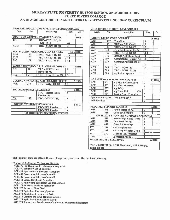#### MURRAY STATE UNIVERSITY HUTSON SCHOOL OF AGRICULTURE/ **THREE RIVERS COLLEGE** AA IN AGRICULTURE TO AGRICULTURAL SYSTEMS TECHNOLOGY CURRICULUM

| Dept.      | No. | <b>Description</b>                          | Hrs.                    | Gr.              |
|------------|-----|---------------------------------------------|-------------------------|------------------|
|            |     |                                             |                         |                  |
|            |     | ORAL AND WRITTEN COMMUNICATION              |                         | <b>7 HRS</b>     |
| <b>ENG</b> | 105 | TRC – ENG111 (3) &                          |                         |                  |
|            |     | ENG <sub>112(3)</sub>                       | 46                      |                  |
| <b>COM</b> | 161 | TRC-SCOM 110 (3)                            | 3                       |                  |
|            |     |                                             |                         |                  |
|            |     | SCI. INQUIRY, METHODS, QUANT. SKILLS        |                         | <b>12/13 HRS</b> |
| <b>MAT</b> | 140 | <b>TRC-MATH 163 (3)</b>                     | 43                      |                  |
| <b>CHE</b> | 105 | $TRC - CHEM$ $H1$ (5)                       | 45                      |                  |
| <b>BIO</b> | 101 | TRC-BIOL 101 (5)                            | 45                      |                  |
|            |     |                                             |                         |                  |
|            |     | WORLD HISTORICAL LIT. AND PHILOSOPHY        |                         | <b>6 HRS</b>     |
| <b>CIV</b> | 201 | TRC-HIST 111 or                             | 3                       |                  |
|            |     | <b>HIST 112 (3)</b>                         |                         |                  |
| <b>HUM</b> | 211 | TRC - HFA Elective (3)                      | $\overline{3}$          |                  |
|            |     |                                             |                         |                  |
|            |     | <b>GLOBAL AWARENESS AND CULT. DIVERSITY</b> |                         | <b>3 HRS</b>     |
| <b>AGR</b> | 353 | TRC - VALU 190 (3)                          | $\overline{\mathbf{3}}$ |                  |
|            |     |                                             |                         |                  |
|            |     | <b>SOCIAL AND SELF AWARENESS</b>            |                         | <b>6 HRS</b>     |
|            |     | <b>TRC</b> – Social Science                 | $\overline{\mathbf{3}}$ |                  |
|            |     | Elective (3)                                |                         |                  |
| POL        | 140 | <b>TRC-GOVT 121(3)</b>                      | 3                       |                  |
|            |     |                                             |                         |                  |
|            |     | <b>UNIVERSITY STUDIES ELECTIVES</b>         |                         | <b>6 HRS</b>     |
|            |     | <b>TRC-HFA Elective</b>                     | 3                       |                  |
|            |     | <b>TRC-HFA Elective</b>                     | $\overline{\mathbf{3}}$ |                  |
|            | 41  | <b>HOURS OF UNIVERSITY STUDIES</b>          |                         |                  |

#### **GENERAL EDUCATION/UNIVERSITY STUDIES COURSES**

#### **AGRICULTURE CURRICULUM COURSES**

| Dept.                                                | No.                                                | Description<br>Hrs.                    |                           | Gr.           |  |
|------------------------------------------------------|----------------------------------------------------|----------------------------------------|---------------------------|---------------|--|
|                                                      |                                                    | <b>AGRICULTURE CORE COURSES*</b>       |                           | <b>26 HRS</b> |  |
| <b>AGR</b>                                           | 100T                                               | Transitions                            | ł                         |               |  |
| <b>AGR</b>                                           | 100                                                | TRC-AGRI 130 (3)                       | 3                         |               |  |
| <b>AGR</b>                                           | 130                                                | TRC - AGRI 240 (3)                     | $\overline{\mathbf{3}}$   |               |  |
| <b>AGR</b>                                           | 133                                                | <b>Field Applications for Ag</b>       | $\overline{\mathbf{2}}$   |               |  |
| <b>AGR</b>                                           | 160                                                | <b>TRC-AGRI 120 (4)</b>                | $\overline{34}$           |               |  |
| <b>AGR</b>                                           | 170                                                | Intro. to Ag Systems Tech              | $\overline{3}$            |               |  |
| <b>AGR</b>                                           | 199                                                | Contemporary Issues in Ag              | $\overline{\overline{3}}$ |               |  |
| <b>AGR</b>                                           | 339                                                | <b>Computer Applications for</b>       |                           |               |  |
|                                                      |                                                    | Ag                                     | $\frac{3}{3}$             |               |  |
| <b>AGR</b>                                           | 345                                                | TRC-AGRI 110                           |                           |               |  |
| <b>AGR</b>                                           | 399                                                | TRC-AGRI 194 (1)                       | 1                         |               |  |
| <b>AGR</b>                                           | 599                                                | Ag Senior Capstone                     | Î                         |               |  |
|                                                      |                                                    |                                        |                           |               |  |
|                                                      |                                                    | <b>AG SYSTEMS TECH. OPTION COURSES</b> |                           | <b>24 HRS</b> |  |
| <b>AGR</b>                                           | 371                                                | Ag Bldg & Construction                 | 3                         |               |  |
| <b>AGR</b>                                           | 372                                                | <b>Ag Metal Processes</b>              | 3                         |               |  |
| <b>AGR</b>                                           | 377                                                | Ag Safety                              | 3                         |               |  |
| <b>AGR</b>                                           | 477                                                | <b>Ag Power Units</b><br><b>OR</b>     |                           |               |  |
| <b>AGR</b><br>577<br><b>Tractor Power Principles</b> |                                                    | 3                                      |                           |               |  |
|                                                      |                                                    | Approved Ag Systems Tech. Electives**  | 9                         |               |  |
| <b>AGR</b> Electives                                 |                                                    |                                        | 3                         |               |  |
|                                                      |                                                    |                                        |                           |               |  |
|                                                      |                                                    | <b>REQUIRED SUPPORT COURSES</b>        |                           | <b>6 HRS</b>  |  |
| <b>AGR</b>                                           | 471                                                | App in Precision Ag                    | $\overline{\mathbf{3}}$   |               |  |
| <b>AGR</b>                                           | 488                                                | Coop Ed/Internship                     | 3                         |               |  |
|                                                      |                                                    | OR SELECT TWO WITH ADVISOR'S APPROVAL  |                           |               |  |
| <b>AGR</b>                                           | 543                                                | Records Mgt & Reg Issues               | 3                         |               |  |
| <b>AGR</b>                                           | 571                                                | Adv. Precision Ag                      | $\overline{\overline{3}}$ |               |  |
| <b>AGR</b>                                           | 489                                                | Coop Ed/Internship                     | $\overline{\overline{3}}$ |               |  |
| <b>ITD</b>                                           | 102                                                | <b>CAD</b> Applications                | 3                         |               |  |
| ITD                                                  | 104                                                | <b>CAD App &amp; Design Comm</b>       | 4                         |               |  |
| ITD                                                  | 330                                                | <b>Machine Tool Processes</b>          | $\overline{4}$            |               |  |
| <b>TSM</b>                                           | 110                                                | <b>Electrical Systems I</b>            | 4                         |               |  |
|                                                      | <b>UNRESTRICTED ELECTIVES</b><br><b>23 HRS</b>     |                                        |                           |               |  |
|                                                      |                                                    |                                        |                           |               |  |
|                                                      | TRC-AGRI 232 (3), AGRI Elective (6), HPER 110 (2), |                                        |                           |               |  |
| CPST 290 (1)                                         |                                                    |                                        |                           |               |  |

\*Students must complete at least 42 hours of upper-level courses at Murray State University.

#### \*\* Approved Ag Systems Technology Electives

- AGR 379 Field Equipment Technology Management
- AGR 470 Soil and Water Engineering
- AGR 471 Applications in Precision Agriculture
- AGR 488 Cooperative Education/Internship
- AGR 489 Cooperative Education/Internship
- AGR 551 Selected Studies in Agriculture
- AGR 570 Ag Systems Technology Lab Management
- AGR 571 Advanced Precision Agriculture
- AGR 572 Advanced Metal Work
- AGR 573 Agriculture Processing Systems
- AGR 574 Agriculture Irrigation and Water
- AGR 575 Combine and Grain Handling Systems
- AGR 576 Agriculture Electrification Systems
- AGR 578 Research and Development of Agriculture Tractors and Equipment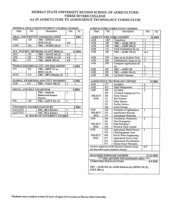#### MURRAY STATE UNIVERSITY HUTSON SCHOOL OF AGRICULTURE/ THREE RIVERS COLLEGE AA IN AGRICULTURE TO AGRISCIENCE TECHNOLOGY CURRICULUM

| <b>GENERAL EDUCATION/UNIVERSITY STUDIES COURSES</b> |                  |                                             |                         |  |               |
|-----------------------------------------------------|------------------|---------------------------------------------|-------------------------|--|---------------|
| Dept.                                               | No.              | Description                                 | Hrs.                    |  | Gr.           |
|                                                     |                  | ORAL AND WRITTEN COMMUNICATION              |                         |  | <b>7 HRS</b>  |
| <b>ENG</b>                                          | 105              | TRC – ENG111 (3) &                          |                         |  |               |
|                                                     |                  | ENG 112(3)                                  | 46                      |  |               |
| <b>COM</b>                                          | 161              | TRC-SCOM 110(3)                             | 3                       |  |               |
|                                                     |                  |                                             |                         |  |               |
|                                                     |                  | SCI. INQUIRY, METHODS, QUANT. SKILLS        |                         |  | <b>12 HRS</b> |
| <b>MAT</b>                                          | 140              | $TRC-MATH$ 163 (3)                          | 43                      |  |               |
| <b>CHE</b>                                          | 105              | <b>TRC-CHEM 111(5)</b>                      | 45                      |  |               |
| <b>BIO</b>                                          | 101              | <b>TRC-BIOL 101(5)</b>                      | 45                      |  |               |
|                                                     |                  |                                             |                         |  |               |
|                                                     |                  | <b>WORLD HISTORICAL LIT. AND PHILOSOPHY</b> |                         |  | <b>6 HRS</b>  |
| CIV                                                 | 201              | TRC-HIST 111 or                             | 3                       |  |               |
|                                                     |                  | HIST 112(3)                                 |                         |  |               |
| <b>HUM</b>                                          | $\overline{211}$ | TRC-HFA Elective (3)                        | 3                       |  |               |
|                                                     |                  |                                             |                         |  |               |
|                                                     |                  | <b>GLOBAL AWARENESS AND CULT. DIVERSITY</b> |                         |  | <b>3 HRS</b>  |
| <b>AGR</b>                                          | 353              | <b>TRC - VALU 190 (3)</b>                   | $\overline{3}$          |  |               |
|                                                     |                  |                                             |                         |  |               |
| <b>SOCIAL AND SELF AWARENESS</b>                    |                  |                                             |                         |  | <b>6 HRS</b>  |
|                                                     |                  | TRC-Social &                                | 3                       |  |               |
|                                                     |                  | <b>Behavioral Science</b>                   |                         |  |               |
|                                                     |                  | <b>Elective</b>                             |                         |  |               |
| POL                                                 | 140              | $TRC-GOVT121(3)$                            | $\overline{3}$          |  |               |
|                                                     |                  |                                             |                         |  |               |
|                                                     |                  | UNIVERSITY STUDIES ELECTIVES                |                         |  | <b>6 HRS</b>  |
| <b>ELECTIVE</b>                                     |                  | <b>TRC-HFA Elective</b>                     | 3                       |  |               |
| <b>ELECTIVE</b>                                     |                  | <b>TRC-HFA Elective</b>                     | $\overline{\mathbf{3}}$ |  |               |
| <b>40 HOURS OF UNIVERSITY STUDIES</b>               |                  |                                             |                         |  |               |

#### **AGRICULTURE CURRICULUM COURSES**

| Dept.                                                                      | No.        | <b>Description</b>                                               | Hrs.                                               | Gr.            |  |
|----------------------------------------------------------------------------|------------|------------------------------------------------------------------|----------------------------------------------------|----------------|--|
|                                                                            |            | <b>AGRICULTURE CORE COURSES</b>                                  |                                                    | <b>26 HRS</b>  |  |
| AGR                                                                        | 100T       | Transitions                                                      | 1                                                  |                |  |
| <b>AGR</b>                                                                 | 100        | $TRC - AGRI$ 130 (3)                                             | 3                                                  |                |  |
| <b>AGR</b>                                                                 | 130        | <b>TRC-AGRI 240 (3)</b>                                          | $\overline{\overline{3}}$                          |                |  |
| AGR                                                                        | 133        | <b>Field Applications for Ag</b>                                 | $\overline{2}$                                     |                |  |
| <b>AGR</b>                                                                 | 160        | <b>TRC-AGRI 120 (4)</b>                                          | $\overline{\overline{\overline{3}}\ \overline{4}}$ |                |  |
|                                                                            |            |                                                                  |                                                    |                |  |
| <b>AGR</b>                                                                 | 170        | Intro. to Ag Systems Tech                                        |                                                    |                |  |
| <b>AGR</b>                                                                 | 199        | Contemporary Issues in Ag                                        | 3                                                  |                |  |
| <b>AGR</b>                                                                 | 339        | <b>Computer Applications for</b>                                 |                                                    |                |  |
|                                                                            |            | Ag                                                               | 3                                                  |                |  |
| <b>AGR</b>                                                                 | 345        | TRC-AGRI 110                                                     | $\overline{\mathbf{3}}$                            |                |  |
| <b>AGR</b>                                                                 | 399        | TRC-AGRI 194 (1)                                                 | 1                                                  |                |  |
| <b>AGR</b>                                                                 | 599        | <b>Ag Senior Capstone</b>                                        | ī                                                  |                |  |
|                                                                            |            |                                                                  |                                                    |                |  |
|                                                                            |            | <b>AGRISCIENCE TECHNOLOGY OPTION</b>                             |                                                    | <b>24 HRS</b>  |  |
| <b>AGR</b>                                                                 | 377        | <b>Ag Safety</b>                                                 | $\overline{\mathbf{3}}$                            |                |  |
| <b>AGR</b>                                                                 | 433        | Farm Management                                                  | $\overline{3}$                                     |                |  |
| <b>AGR</b>                                                                 | 300        | <b>Ag Safety</b>                                                 | $\overline{\overline{3}}$                          |                |  |
|                                                                            | 301        | Livestock Judging and Eva                                        |                                                    |                |  |
| <b>SELECT</b>                                                              | 302        | <b>Horse Science</b>                                             |                                                    |                |  |
| <b>ONE</b>                                                                 | 311        | <b>Beef Science</b>                                              |                                                    |                |  |
|                                                                            | 312        | Dairy Science                                                    |                                                    |                |  |
|                                                                            | 321        | <b>Poultry Science</b>                                           |                                                    |                |  |
|                                                                            | 326        | <b>Swine Science</b>                                             |                                                    |                |  |
| <b>AGR</b>                                                                 | 330        | <b>Principles of Agribusiness</b>                                | $\overline{\overline{3}}$                          |                |  |
| <b>SELECT</b>                                                              | 333        | <b>Agribusiness Records</b>                                      |                                                    |                |  |
| <b>ONE</b>                                                                 | 337        | <b>Agricultural Marketing</b>                                    |                                                    |                |  |
| <b>AGR</b>                                                                 | 360        | Greenhouse, Production                                           | 3                                                  |                |  |
|                                                                            | 461        | Plant Propagation                                                |                                                    |                |  |
| <b>SELECT</b>                                                              | 542        | <b>Plant Breeding I</b>                                          |                                                    |                |  |
| ONE<br><b>AGR</b>                                                          | 549<br>372 | Weeds & Their Control                                            | $\overline{3}$                                     |                |  |
|                                                                            | 379        | <b>Agricultural Metal Process</b><br><b>Field Equipment Tech</b> |                                                    |                |  |
| <b>SELECT</b>                                                              | 470        | Soil & Water Engineering                                         |                                                    |                |  |
| <b>ONE</b>                                                                 | 477        | <b>Agricultural Power Units</b>                                  |                                                    |                |  |
|                                                                            | 576        | <b>Agricultural Electrification</b>                              |                                                    |                |  |
|                                                                            | 577        | <b>Tractor Power Principles</b>                                  |                                                    |                |  |
|                                                                            |            | <b>Advisor Approved AGR Electives (elective hours</b>            | $0 - 9$                                            |                |  |
|                                                                            |            | are dependent upon emphasis chosen)                              |                                                    |                |  |
|                                                                            |            |                                                                  |                                                    |                |  |
|                                                                            |            | <b>REQUIRED EMPHASIS COURSES</b>                                 | 21-22 HRS                                          |                |  |
|                                                                            |            | **** SEE ADVISOR FOR EMPHASIS AREA ****                          |                                                    |                |  |
| <b>UNRESTRICTED ELECTIVES</b>                                              |            |                                                                  |                                                    | <b>8-9 HRS</b> |  |
| TRC-AGRI 232 (3), AGRI Electives (6), HPER 110 (2),<br><b>CPST 290 (1)</b> |            |                                                                  |                                                    |                |  |

\*Students must complete at least 42 hours of upper-level courses at Murray State University.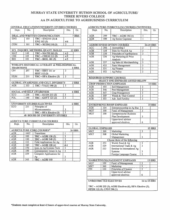#### MURRAY STATE UNIVERSITY HUTSON SCHOOL OF AGRICULTURE/ THREE RIVERS COLLEGE AA IN AGRICULTURE TO AGRIBUSINESS CURRICULUM

#### **GENERAL EDUCATION/UNIVERSITY STUDIES COURSES**

| Dept.             | No.                                      | Description                                 | Hrs.                    | Gr.           |  |
|-------------------|------------------------------------------|---------------------------------------------|-------------------------|---------------|--|
|                   |                                          | ORAL AND WRITTEN COMMUNICATION              |                         | 7 HRS         |  |
| <b>ENG</b>        | 105                                      | $TRC - ENG111(3)$ &                         |                         |               |  |
|                   |                                          | ENG 112 (3)                                 | 46                      |               |  |
| <b>COM</b>        | 161                                      | TRC-SCOM 110 (3)                            | $\overline{\mathbf{3}}$ |               |  |
|                   |                                          |                                             |                         |               |  |
|                   |                                          | SCI. INQUIRY, METHODS, QUANT. SKILLS        |                         | <b>12 HRS</b> |  |
| <b>MAT</b>        | 140                                      | <b>TRC-MATH 163 (3)</b>                     | 43                      |               |  |
| <b>CHE</b>        | 105                                      | $TRC - CHEM$ 111 (5)                        | 45                      |               |  |
| BIO.              | 101                                      | TRC-BIOL 101 (5)                            | 45                      |               |  |
|                   |                                          |                                             |                         |               |  |
|                   |                                          | WORLD'S HISTORICAL LITERARY & PHILOSOPHICAL |                         |               |  |
| <b>TRADITIONS</b> |                                          |                                             |                         | <b>6 HRS</b>  |  |
| CIV <sub></sub>   | 201                                      | TRC-HIST 111 or                             | 3                       |               |  |
|                   |                                          | HIST 112 (3)                                |                         |               |  |
| <b>HUM</b>        | 211                                      | TRC - HFA Elective (3)                      | 3                       |               |  |
|                   |                                          |                                             |                         |               |  |
|                   |                                          | <b>GLOBAL AWARENESS AND CULT. DIVERSITY</b> |                         | 3 HRS         |  |
| AGR               | 353                                      | $TRC - VALU$ 190 (3)                        | 3                       |               |  |
|                   |                                          |                                             |                         |               |  |
|                   |                                          | <b>SOCIAL AND SELF AWARENESS</b>            |                         | <b>6 HRS</b>  |  |
| ECO               | 230                                      | $TRC - ECON 211 (3)$                        | 3                       |               |  |
| POL               | 140                                      | $TRC - GOVT 121 (3)$                        |                         |               |  |
|                   |                                          |                                             |                         |               |  |
|                   |                                          | UNIVERSITY STUDIES ELECTIVES                |                         | <b>6 HRS</b>  |  |
| <b>ECO</b>        | 231                                      | Principles of                               |                         |               |  |
|                   |                                          | Microeconomics                              | 3                       |               |  |
|                   |                                          | TRC - HFA Elective (3)                      | $\overline{3}$          |               |  |
|                   | <b>HOURS OF UNIVERSITY STUDIES</b><br>40 |                                             |                         |               |  |

#### **AGRICULTURE CURRICULUM COURSES**

| Dept.      | No.                              | Description                      | Hrs. | Gr.           |
|------------|----------------------------------|----------------------------------|------|---------------|
|            | <b>AGRICULTURE CORE COURSES*</b> |                                  |      |               |
| AGR        | 100T                             | <b>Transitions</b>               |      | <b>26 HRS</b> |
| <b>AGR</b> | 100                              | <b>TRC-AGRI 130 (3)</b>          |      |               |
| AGR        | 130                              | <b>TRC-AGRI 240 (3)</b>          | 3    |               |
| <b>AGR</b> | 133                              | <b>Field Applications for Ag</b> |      |               |
| <b>AGR</b> | 160                              | <b>TRC-AGRI 120 (4)</b>          | 34   |               |
| <b>AGR</b> | 170                              | Intro, to Ag Systems Tech        | 3    |               |
| <b>AGR</b> | 199                              | Contemporary Issues in Ag        | 3    |               |
| <b>AGR</b> | 339                              | <b>Computer Applications for</b> |      |               |
|            |                                  | Αg                               | ٦    |               |
| AGR        | 345                              | <b>TRC-AGRI 110</b>              |      |               |

#### AGRICULTURE CURRICULUM COURSES CONTINUED

| Dept.                             | No.              | Description                                               | Hrs.                      | Gr.           |
|-----------------------------------|------------------|-----------------------------------------------------------|---------------------------|---------------|
| <b>AGR</b>                        | 399              | TRC-AGRI 194 (1)                                          | 1                         |               |
| <b>AGR</b>                        | 599              | <b>Ag Senior Capstone</b>                                 | 1                         |               |
|                                   |                  |                                                           |                           |               |
|                                   |                  | <b>AGRIBUSINESS OPTION COURSES</b>                        | 24-25 HRS                 |               |
| <b>ACC</b>                        | 200              | <b>Accounting I</b>                                       | 3                         |               |
| <b>AGR</b>                        | 328              | Stats for Food & Ag                                       | 3                         |               |
| <b>AGR</b>                        | 330              | <b>Principles of Agribusiness</b>                         | $\overline{\mathbf{3}}$   |               |
| <b>AGR</b>                        | 336              | Ag Marketing & Price                                      |                           |               |
|                                   |                  | <b>Analysis</b>                                           | 3                         |               |
| <b>AGR</b>                        | 337              | Ag Sales & Merchandising                                  |                           |               |
| <b>AGR</b>                        | 433              | Farm Management                                           | $\overline{\mathbf{3}}$   |               |
| <b>AGR</b>                        | $\overline{531}$ | <b>Ag Finance</b>                                         |                           |               |
| <b>AGR</b>                        | 552              | <b>Ag Policy</b>                                          | $\overline{\overline{3}}$ |               |
|                                   |                  |                                                           |                           |               |
|                                   |                  | <b>REQUIRED SUPPORT COURSES</b>                           |                           |               |
|                                   |                  | <b>SELECT ONE EMPHASIS LISTED BELOW</b>                   |                           |               |
|                                   |                  | <b>CROP PRODUCTION EMPHASIS</b>                           |                           | <b>15 HRS</b> |
| <b>AGR</b>                        | 455              | Soil Management                                           | 3                         |               |
| <b>AGR</b>                        | 546              | Pest Management                                           |                           |               |
| <b>AGR</b>                        | 547              | <b>Crop Management</b>                                    |                           |               |
| <b>AGR</b>                        | 549              | Weeds & Their Control                                     |                           |               |
| <b>AGR</b>                        | 555              | <b>Adv.</b> Soil Fertility                                | 3                         |               |
|                                   |                  |                                                           |                           |               |
|                                   |                  | <b>ENTREPRENEURSHIP EMPHASIS</b>                          |                           | 15 HRS        |
| <b>AGR</b>                        | 334              | <b>Entrepreneurship in Ag Bus</b>                         | 3                         |               |
| <b>MGT</b>                        | 350              | Fund. of Management                                       | 3                         |               |
| <b>MGT</b>                        | 358              | <b>Entrepreneurial Business</b>                           |                           |               |
|                                   |                  | Plan Development                                          | 3                         |               |
|                                   |                  | <b>Upper-level advisor</b><br>approved electives          | 6                         |               |
|                                   |                  |                                                           |                           |               |
| <b>GLOBAL EMPHASIS</b>            |                  |                                                           |                           | 15 HRS        |
| <b>MKT</b>                        | 360              | Marketing                                                 | 3                         |               |
| <b>MKT</b>                        | 568              | <b>Global Marketing</b>                                   |                           |               |
|                                   |                  | Management                                                | 3                         |               |
|                                   |                  | <b>Choose three of the following</b>                      |                           |               |
| <b>AGR</b>                        | 353              | World, Food & Ag                                          | $\overline{\mathbf{3}}$   |               |
| <b>AGR</b>                        | 529              | International Trade & Ag                                  | 3                         |               |
| <b>AGR</b>                        | 533              | Seminar in International Ag                               |                           |               |
|                                   |                  | Systems                                                   | 3                         |               |
|                                   |                  | Foreign Language Course                                   | 3                         |               |
|                                   |                  |                                                           |                           |               |
|                                   |                  | MARKETING/MANAGEMENT EMPHASIS                             |                           | <b>15 HRS</b> |
| MGT                               | 350              | Fund. of Management                                       | 3                         |               |
| MKT                               | 360              | Marketing                                                 | 3                         |               |
| FIN                               | 330              | <b>Principles of Finance</b><br>Upper-level advisor       |                           |               |
|                                   |                  | approved electives                                        | 6                         |               |
|                                   |                  |                                                           |                           |               |
| UNRESTRICTED ELECTIVES            |                  |                                                           | 14 to 15 HRS              |               |
|                                   |                  |                                                           |                           |               |
|                                   |                  | TRC - AGRI 232 (3), AGRI Electives (6), HFA Elective (3), |                           |               |
| <u>HPER 110 (3), CPST 290 (1)</u> |                  |                                                           |                           |               |
|                                   |                  |                                                           |                           |               |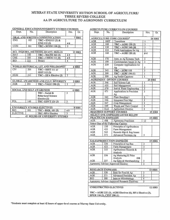#### MURRAY STATE UNIVERSITY HUTSON SCHOOL OF AGRICULTURE/ **THREE RIVERS COLLEGE** AA IN AGRICULTURE TO AGRONOMY CURRICULUM

| <b>GENERAL EDUCATION/UNIVERSITY STUDIES COURSES</b> |  |  |
|-----------------------------------------------------|--|--|
|                                                     |  |  |

| Dept.                                 | No. | Description                                 | Hrs. |  | Gr.           |
|---------------------------------------|-----|---------------------------------------------|------|--|---------------|
|                                       |     | ORAL AND WRITTEN COMMUNICATION              |      |  | 7 HRS         |
| <b>ENG</b>                            | 105 | $TRC-ENGI11(3)$ &                           |      |  |               |
|                                       |     | ENG 112 (3)                                 | 46   |  |               |
| <b>COM</b>                            | 161 | <b>TRC-SCOM 110 (3)</b>                     | 3    |  |               |
|                                       |     |                                             |      |  |               |
|                                       |     | SCI. INQUIRY, METHODS, QUANT, SKILLS        |      |  | <b>12 HRS</b> |
| <b>MAT</b>                            | 140 | TRC-MATH 163 (3)                            | 43   |  |               |
| <b>CHE</b>                            | 105 | <b>TRC-CHEM 111 (5)</b>                     | 45   |  |               |
| <b>BIO</b>                            | 222 | Botany                                      | 4    |  |               |
|                                       |     |                                             |      |  |               |
|                                       |     | WORLD HISTORICAL LIT. AND PHILOSOPHY        |      |  | <b>6 HRS</b>  |
| <b>CIV</b>                            | 201 | TRC-HIST 111 or                             | 3    |  |               |
|                                       |     | HIST 112 (3)                                |      |  |               |
| <b>HUM</b>                            | 211 | TRC-HFA Elective (3)                        | 3    |  |               |
|                                       |     |                                             |      |  |               |
|                                       |     | <b>GLOBAL AWARENESS AND CULT. DIVERSITY</b> |      |  | <b>3 HRS</b>  |
| <b>AGR</b>                            | 353 | <b>TRC-VALU 190 (3)</b>                     | 3    |  |               |
|                                       |     |                                             |      |  |               |
|                                       |     | <b>SOCIAL AND SELF AWARENESS</b>            |      |  | <b>6 HRS</b>  |
|                                       |     | TRC - Social &                              | 3    |  |               |
|                                       |     | <b>Behavioral Science</b>                   |      |  |               |
|                                       |     | Elective (3)                                |      |  |               |
| POL                                   | 140 | <b>TRC-GOVT 121 (3)</b>                     | 3    |  |               |
|                                       |     |                                             |      |  |               |
|                                       |     | <b>UNIVERSITY STUDIES ELECTIVES</b>         |      |  | 8 HRS         |
| <b>BIO</b>                            | 101 | <b>TRC-BIOL 101 (5)</b>                     | 45   |  |               |
| <b>ELECTIVE</b>                       |     | <b>TRC-HFA Elective</b>                     | 3    |  |               |
| <b>42 HOURS OF UNIVERSITY STUDIES</b> |     |                                             |      |  |               |

#### **AGRICULTURE CURRICULUM COURSES**

| Dept.                                             | No.        | Description                                          | Hrs.                      | Gr.           |
|---------------------------------------------------|------------|------------------------------------------------------|---------------------------|---------------|
| <b>AGRICULTURE CORE COURSES*</b><br><b>26 HRS</b> |            |                                                      |                           |               |
| <b>AGR</b>                                        | 100T       | <b>Transitions</b>                                   | 1                         |               |
| <b>AGR</b>                                        | 100        | TRC-AGRI 130 (3)                                     | $\overline{\mathbf{3}}$   |               |
| <b>AGR</b>                                        | 130        | <b>TRC-AGRI 240 (30</b>                              | 3                         |               |
| <b>AGR</b>                                        | 133        | <b>Field Applications for Ag</b>                     | $\overline{2}$            |               |
| <b>AGR</b>                                        | 160        | <b>TRC-AGRI 120 (4)</b>                              | $\overline{34}$           |               |
|                                                   |            |                                                      |                           |               |
| <b>AGR</b>                                        | 170        | Intro. to Ag Systems Tech                            | $\overline{\mathbf{3}}$   |               |
| <b>AGR</b>                                        | 199        | Contemporary Issues in Ag                            | $\overline{3}$            |               |
| <b>AGR</b>                                        | 339        | <b>Computer Applications for</b>                     |                           |               |
|                                                   |            | Ag                                                   | $\overline{\mathbf{3}}$   |               |
| <b>AGR</b>                                        | 345        | TRC-AGRI 110                                         | 3                         |               |
| <b>AGR</b>                                        | 399        | <b>TRC-AGRI 194 (1)</b>                              | $\mathbf{1}$              |               |
| <b>AGR</b>                                        | 599        | <b>Ag Senior Capstone</b>                            | ī                         |               |
|                                                   |            | <b>AGRONOMY OPTION COURSES</b>                       | <b>25 HRS</b>             |               |
| <b>AGR</b>                                        | 346        | Soil Science Lab                                     | l                         |               |
| <b>AGR</b>                                        | 455        | Soil Management                                      |                           |               |
| <b>AGR</b>                                        | 470        | Soil & Water Engineering                             | $\overline{\overline{3}}$ |               |
| <b>AGR</b>                                        | 471        | <b>Applications in Precision</b>                     | ₹                         |               |
|                                                   |            | Aα                                                   |                           |               |
| <b>AGR</b>                                        | 542        | <b>Plant Breeding I</b>                              | 3                         |               |
| <b>AGR</b>                                        | 546        | <b>Integrated Pest Mgt</b>                           | $\overline{\overline{3}}$ |               |
| <b>AGR</b>                                        | 547        | Crop Management                                      |                           |               |
| <b>AGR</b>                                        | 549        | <b>Weeds and Their Control</b>                       | 3                         |               |
| <b>AGR</b>                                        | <b>ELE</b> | <b>Agriculture Elective</b>                          | $\overline{3}$            |               |
|                                                   |            | <b>REQUIRED SUPPORT COURSES</b>                      |                           | <b>15 HRS</b> |
|                                                   |            | <b>SELECT ONE EMPHASIS LISTED BELOW</b>              |                           |               |
| <b>PRACTICUM EMPHASIS</b>                         |            |                                                      |                           | <b>15 HRS</b> |
| <b>AGR</b>                                        | 498        | <b>Agronomy Practicum</b>                            | $\overline{12}$           |               |
|                                                   |            | <b>Select One of the Following Courses</b>           |                           |               |
| <b>AGR</b>                                        | 330        | <b>Principles of Agribusiness</b>                    |                           |               |
| <b>AGR</b>                                        | 433        | Farm Management                                      |                           |               |
| <b>AGR</b>                                        | 543        | Records Mgt & Reg Issues                             |                           |               |
| AGR                                               | 571        | <b>Advanced Precision Ag</b>                         | 3                         |               |
|                                                   |            |                                                      |                           |               |
|                                                   |            | <b>SALES/PRODUCTION EMPHASIS</b>                     |                           | <b>15 HRS</b> |
| <b>AGR</b>                                        | 330        | Principles of Ag Bus                                 | 3                         |               |
| <b>AGR</b>                                        | 433        | Farm Management                                      |                           |               |
| <b>AGR</b>                                        | 333        | <b>Agribusiness Records &amp;</b>                    | 3                         |               |
|                                                   |            | Analysis                                             |                           |               |
| <b>AGR</b>                                        | 336        | Ag Marketing & Price                                 |                           |               |
|                                                   |            | Analysis<br>OR                                       |                           |               |
| <b>AGR</b>                                        | 337        | Ag Sales & Merchandising                             | 3                         |               |
|                                                   |            | <b>Agronomy Advisor Approved Elective:</b>           | 3                         |               |
|                                                   |            |                                                      |                           |               |
| <b>RESEARCH EMPHASIS</b>                          |            |                                                      |                           | <b>15 HRS</b> |
| <b>AGR</b>                                        | 328        | Stats for Food & Ag                                  | 3                         |               |
| <b>AGR</b>                                        | 571        | <b>Advanced Precision Ag</b>                         |                           |               |
| <b>BIO</b>                                        | 300        | Intro to Microbiology                                | 4                         |               |
|                                                   |            | <b>Agronomy Advisor Approved Research Electives:</b> | 5                         |               |
|                                                   |            |                                                      |                           |               |
| <b>UNRESTRICTED ELECTIVES</b><br><b>12 HRS</b>    |            |                                                      |                           |               |
|                                                   |            |                                                      |                           |               |

TRC-AGRI 232 (3), AGRI Electives (6), HFA Elective (3), **HPER 110 (2), CPST 290 (1)** 

\*Students must complete at least 42 hours of upper-level courses at Murray State University.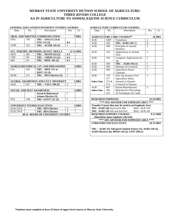#### **MURRAY STATE UNIVERSITY HUTSON SCHOOL OF AGRICULTURE/ THREE RIVERS COLLEGE AA IN AGRICULTURE TO ANIMAL/EQUINE SCIENCE CURRICULUM**

| Dept.                                             | No. | Description                                 | Hrs.          | Gr.   |
|---------------------------------------------------|-----|---------------------------------------------|---------------|-------|
|                                                   |     |                                             |               |       |
| ORAL AND WRITTEN COMMUNICATION<br>7 HRS           |     |                                             |               |       |
| <b>ENG</b>                                        | 105 | $TRC - ENG111(3)$ &                         |               |       |
|                                                   |     | ENG 112 (3)                                 | 46            |       |
| <b>COM</b>                                        | 161 | TRC - SCOM 110 (3)                          | 3             |       |
|                                                   |     |                                             |               |       |
| SCI. INQUIRY, METHODS, QUANT. SKILLS<br>12-13 HRS |     |                                             |               |       |
| <b>MAT</b>                                        | 140 | <b>TRC – MATH 163 (3)</b>                   | 43            |       |
| <b>CHE</b>                                        | 105 | <b>TRC – CHEM 111 (5)</b>                   | 45            |       |
| <b>BIO</b>                                        | 101 | <b>TRC - BIOL 101 (5)</b>                   | 45            |       |
|                                                   |     |                                             |               |       |
|                                                   |     | WORLD HISTORICAL LIT. AND PHILOSOPHY        |               | 6 HRS |
| <b>CIV</b>                                        | 201 | TRC – HIST 111 or                           | 3             |       |
|                                                   |     | <b>HIST 112(3)</b>                          |               |       |
| <b>HUM</b>                                        | 211 | TRC - HFA Elective (3)                      | $\mathcal{E}$ |       |
|                                                   |     |                                             |               |       |
|                                                   |     | <b>GLOBAL AWARENESS AND CULT. DIVERSITY</b> |               | 3 HRS |
| AGR                                               | 353 | <b>TRC - VALU 190 (3)</b>                   | 3             |       |
|                                                   |     |                                             |               |       |
|                                                   |     | SOCIAL AND SELF AWARENESS                   |               | 6 HRS |
|                                                   |     | Social & Behavioral                         | 3             |       |
|                                                   |     | Science Elective (3)                        |               |       |
| POL                                               | 140 | <b>TRC- GOVT 121 (3)</b>                    | 3             |       |
|                                                   |     |                                             |               |       |
| UNIVERSITY STUDIES ELECTIVES<br>6 HRS             |     |                                             |               |       |
| <b>ELECTIVE</b>                                   |     | <b>TRC- HFA Elective</b>                    | 3             |       |
| <b>ELECTIVE</b>                                   |     | <b>TRC-HFA Elective</b>                     | $\mathcal{R}$ |       |
| <b>40-41 HOURS OF UNIVERSITY STUDIES</b>          |     |                                             |               |       |

#### **AGRICULTURE CURRICULUM COURSES**

| Dept.                                                     | No.   | Description                           | Hrs.         | Gr. |
|-----------------------------------------------------------|-------|---------------------------------------|--------------|-----|
| <b>AGRICULTURE CORE COURSES*</b><br><b>26 HRS</b>         |       |                                       |              |     |
| AGR                                                       | 100T  | Transitions                           | 1            |     |
| AGR                                                       | 100   | <b>TRC- AGRI 130 (3)</b>              | 3            |     |
| AGR                                                       | 300   | Principles of Animal<br>Nutrition     | 3            |     |
| AGR                                                       | 310   | Applications in Animal<br>Tech        | 3            |     |
| AGR                                                       | 339   | Computer Applications for<br>Ag       | 3            |     |
| AGR                                                       | 399   | $\overline{TRC}$ – AGRI 194 $(1)$     | $\mathbf{1}$ |     |
| AGR                                                       | 504   | Diseases of Livestock                 | 3            |     |
| AGR                                                       | 599   | <b>Agriculture Senior</b><br>Capstone | 1            |     |
| AGR                                                       | 170   | Intro Ag Systems Tech                 | 3            |     |
|                                                           | 377   | <b>Agriculture Safety</b>             |              |     |
| <b>Select One</b>                                         | 373 & | <b>Animals in Disaster</b>            |              |     |
|                                                           | 374   | Livestock in Disaster                 |              |     |
| AGR                                                       | 403   | <b>Equine Reproduction</b>            | 3            |     |
| <b>Select One</b>                                         | 506   | Reproductive Physiology               |              |     |
|                                                           | 523   | AI Techniques for Cattle              |              |     |
|                                                           |       |                                       |              |     |
| <b>REQUIRED EMPHASIS</b>                                  |       |                                       | 23-24 HRS    |     |
| **** SEE ADVISOR FOR EMPHASIS AREA ****                   |       |                                       |              |     |
| Transfer Course that may be used in an Emphasis Area      |       |                                       |              |     |
| TRC-AGRI 240 Ag Econ & Mkt<br><b>MSU-AGR 130</b>          |       |                                       |              |     |
| TRC- AGRI 110 Soil and Soil Fert.<br>MSU-AGR 345          |       |                                       |              |     |
| <b>0-12 HRS</b><br><b>REQUIRED SUPPORT COURSES</b>        |       |                                       |              |     |
| (dependent upon emphasis selected)                        |       |                                       |              |     |
| **** SEE ADVISOR FOR EMPHASIS AREA ****                   |       |                                       |              |     |
| <b>UNRESTRICTED ELECTIVES</b><br><b>18-33 HRS</b>         |       |                                       |              |     |
| TRC – AGRI 232 Advanced Animal Science (3), AGRI 120 (3), |       |                                       |              |     |

**AGRI Electives (6), HPER 110 (2), CPST 290 (1)**